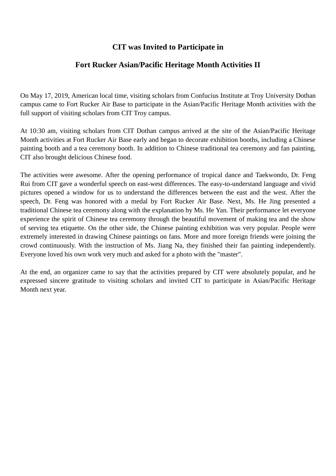## **CIT was Invited to Participate in**

## **Fort Rucker Asian/Pacific Heritage Month Activities II**

On May 17, 2019, American local time, visiting scholars from Confucius Institute at Troy University Dothan campus came to Fort Rucker Air Base to participate in the Asian/Pacific Heritage Month activities with the full support of visiting scholars from CIT Troy campus.

At 10:30 am, visiting scholars from CIT Dothan campus arrived at the site of the Asian/Pacific Heritage Month activities at Fort Rucker Air Base early and began to decorate exhibition booths, including a Chinese painting booth and a tea ceremony booth. In addition to Chinese traditional tea ceremony and fan painting, CIT also brought delicious Chinese food.

The activities were awesome. After the opening performance of tropical dance and Taekwondo, Dr. Feng Rui from CIT gave a wonderful speech on east-west differences. The easy-to-understand language and vivid pictures opened a window for us to understand the differences between the east and the west. After the speech, Dr. Feng was honored with a medal by Fort Rucker Air Base. Next, Ms. He Jing presented a traditional Chinese tea ceremony along with the explanation by Ms. He Yan. Their performance let everyone experience the spirit of Chinese tea ceremony through the beautiful movement of making tea and the show of serving tea etiquette. On the other side, the Chinese painting exhibition was very popular. People were extremely interested in drawing Chinese paintings on fans. More and more foreign friends were joining the crowd continuously. With the instruction of Ms. Jiang Na, they finished their fan painting independently. Everyone loved his own work very much and asked for a photo with the "master".

At the end, an organizer came to say that the activities prepared by CIT were absolutely popular, and he expressed sincere gratitude to visiting scholars and invited CIT to participate in Asian/Pacific Heritage Month next year.